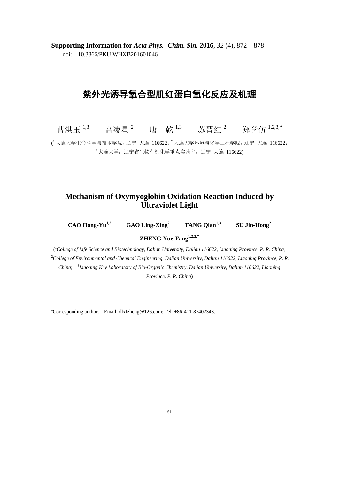**Supporting Information for** *Acta Phys. -Chim. Sin.* **2016**, *32* (4), 872-878 doi: 10.3866/PKU.WHXB201601046

## 紫外光诱导氧合型肌红蛋白氧化反应及机理

曹洪玉<sup>1,3</sup> 高凌星<sup>2</sup> 唐 乾<sup>1,3</sup> 苏晋红<sup>2</sup> 郑学仿<sup>1,2,3,\*</sup>

 $(^1$ 大连大学生命科学与技术学院, 辽宁 大连 116622;  $^2$ 大连大学环境与化学工程学院, 辽宁 大连 116622;  $3$ 大连大学,辽宁省生物有机化学重点实验室,辽宁大连 116622)

## **Mechanism of Oxymyoglobin Oxidation Reaction Induced by Ultraviolet Light**

**CAO Hong-Yu1,3**

 **GAO Ling-Xing<sup>2</sup> TANG Qian1,3**

 **SU Jin-Hong<sup>2</sup>**

**ZHENG Xue-Fang1,2,3,\***

( <sup>1</sup>*College of Life Science and Biotechnology, Dalian University, Dalian 116622, Liaoning Province, P. R. China*; <sup>2</sup>*College of Environmental and Chemical Engineering, Dalian University, Dalian 116622, Liaoning Province, P. R. China*; 3 *Liaoning Key Laboratory of Bio-Organic Chemistry, Dalian University, Dalian 116622, Liaoning Province, P. R. China*)

<sup>∗</sup>Corresponding author. Email: dlxfzheng@126.com; Tel: +86-411-87402343.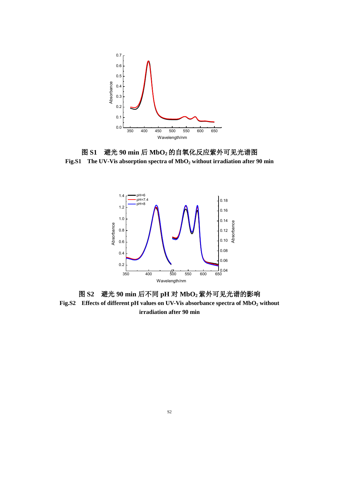

图 **S1** 避光 **90 min** 后 **MbO2**的自氧化反应紫外可见光谱图 **Fig.S1 The UV-Vis absorption spectra of MbO<sup>2</sup> without irradiation after 90 min**



图 **S2** 避光 **90 min** 后不同 **pH** 对 **MbO2**紫外可见光谱的影响 **Fig.S2 Effects of different pH values on UV-Vis absorbance spectra of MbO<sup>2</sup> without irradiation after 90 min**